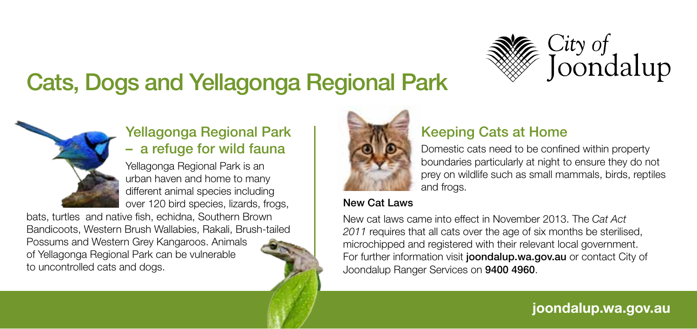

# Cats, Dogs and Yellagonga Regional Park



### Yellagonga Regional Park – a refuge for wild fauna

Yellagonga Regional Park is an urban haven and home to many different animal species including over 120 bird species, lizards, frogs,

bats, turtles and native fish, echidna, Southern Brown Bandicoots, Western Brush Wallabies, Rakali, Brush-tailed Possums and Western Grey Kangaroos. Animals of Yellagonga Regional Park can be vulnerable to uncontrolled cats and dogs.



## Keeping Cats at Home

Domestic cats need to be confined within property boundaries particularly at night to ensure they do not prey on wildlife such as small mammals, birds, reptiles and frogs.

#### New Cat Laws

New cat laws came into effect in November 2013. The *Cat Act 2011* requires that all cats over the age of six months be sterilised, microchipped and registered with their relevant local government. For further information visit joondalup.wa.gov.au or contact City of Joondalup Ranger Services on 9400 4960.

**joondalup.wa.gov.au**